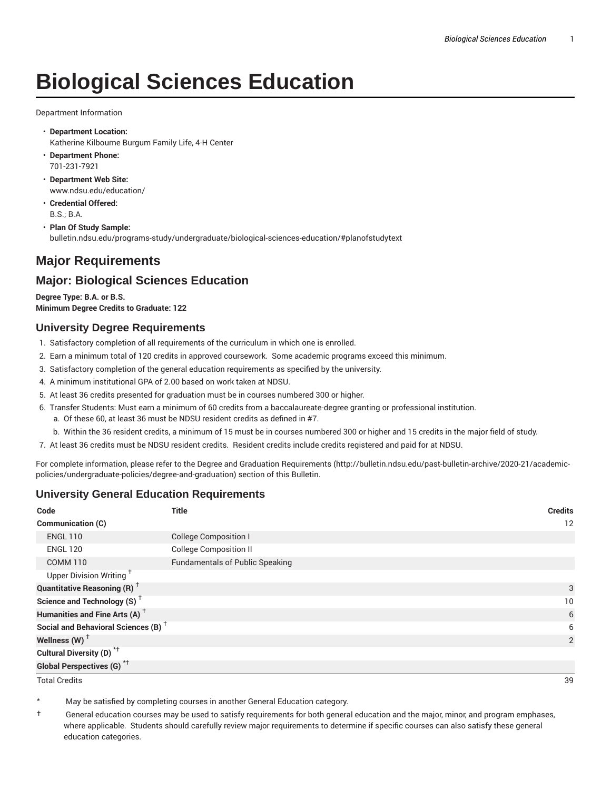# **Biological Sciences Education**

Department Information

- **Department Location:** Katherine Kilbourne Burgum Family Life, 4-H Center
- **Department Phone:** 701-231-7921
- **Department Web Site:** www.ndsu.edu/education/
- **Credential Offered:** B.S.; B.A.
- **Plan Of Study Sample:** bulletin.ndsu.edu/programs-study/undergraduate/biological-sciences-education/#planofstudytext

# **Major Requirements**

## **Major: Biological Sciences Education**

**Degree Type: B.A. or B.S. Minimum Degree Credits to Graduate: 122**

#### **University Degree Requirements**

- 1. Satisfactory completion of all requirements of the curriculum in which one is enrolled.
- 2. Earn a minimum total of 120 credits in approved coursework. Some academic programs exceed this minimum.
- 3. Satisfactory completion of the general education requirements as specified by the university.
- 4. A minimum institutional GPA of 2.00 based on work taken at NDSU.
- 5. At least 36 credits presented for graduation must be in courses numbered 300 or higher.
- 6. Transfer Students: Must earn a minimum of 60 credits from a baccalaureate-degree granting or professional institution.
	- a. Of these 60, at least 36 must be NDSU resident credits as defined in #7.
	- b. Within the 36 resident credits, a minimum of 15 must be in courses numbered 300 or higher and 15 credits in the major field of study.
- 7. At least 36 credits must be NDSU resident credits. Resident credits include credits registered and paid for at NDSU.

For complete information, please refer to the Degree and Graduation Requirements (http://bulletin.ndsu.edu/past-bulletin-archive/2020-21/academicpolicies/undergraduate-policies/degree-and-graduation) section of this Bulletin.

## **University General Education Requirements**

| Code                                            | <b>Title</b>                           | <b>Credits</b>  |
|-------------------------------------------------|----------------------------------------|-----------------|
| <b>Communication (C)</b>                        |                                        | 12              |
| <b>ENGL 110</b>                                 | <b>College Composition I</b>           |                 |
| <b>ENGL 120</b>                                 | <b>College Composition II</b>          |                 |
| <b>COMM 110</b>                                 | <b>Fundamentals of Public Speaking</b> |                 |
| Upper Division Writing <sup>+</sup>             |                                        |                 |
| <b>Quantitative Reasoning (R)</b> <sup>†</sup>  |                                        | 3               |
| Science and Technology (S) <sup>+</sup>         |                                        | 10 <sup>°</sup> |
| Humanities and Fine Arts (A) <sup>+</sup>       |                                        | 6               |
| Social and Behavioral Sciences (B) <sup>+</sup> |                                        | 6               |
| Wellness $(W)$ <sup>+</sup>                     |                                        | 2               |
| Cultural Diversity (D) <sup>*†</sup>            |                                        |                 |
| <b>Global Perspectives (G)<sup>*†</sup></b>     |                                        |                 |

Total Credits 39

May be satisfied by completing courses in another General Education category.

† General education courses may be used to satisfy requirements for both general education and the major, minor, and program emphases, where applicable. Students should carefully review major requirements to determine if specific courses can also satisfy these general education categories.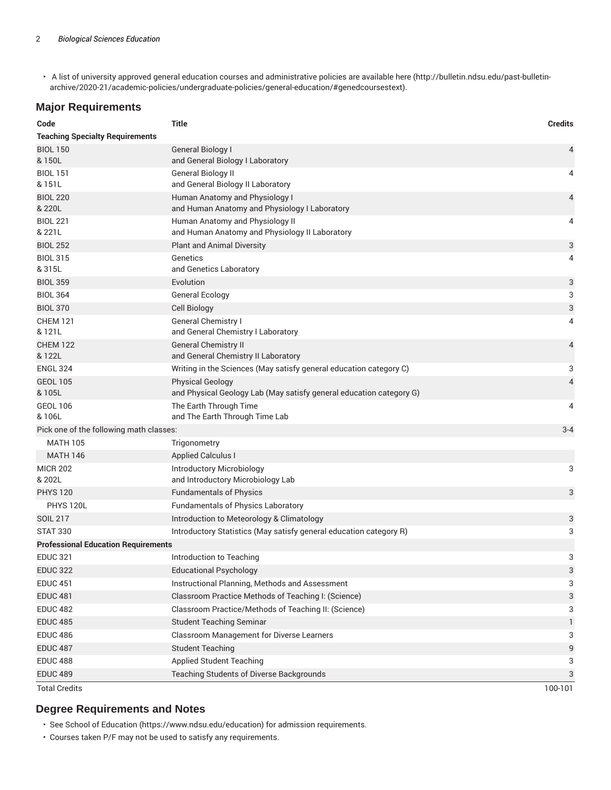• A list of university approved general education courses and administrative policies are available here (http://bulletin.ndsu.edu/past-bulletinarchive/2020-21/academic-policies/undergraduate-policies/general-education/#genedcoursestext).

### **Major Requirements**

| Code                                       | <b>Title</b>                                                                                   | <b>Credits</b> |
|--------------------------------------------|------------------------------------------------------------------------------------------------|----------------|
| <b>Teaching Specialty Requirements</b>     |                                                                                                |                |
| <b>BIOL 150</b><br>& 150L                  | General Biology I<br>and General Biology I Laboratory                                          | 4              |
| <b>BIOL 151</b><br>& 151L                  | General Biology II<br>and General Biology II Laboratory                                        | 4              |
| <b>BIOL 220</b><br>& 220L                  | Human Anatomy and Physiology I<br>and Human Anatomy and Physiology I Laboratory                | 4              |
| <b>BIOL 221</b><br>& 221L                  | Human Anatomy and Physiology II<br>and Human Anatomy and Physiology II Laboratory              | 4              |
| <b>BIOL 252</b>                            | <b>Plant and Animal Diversity</b>                                                              | 3              |
| <b>BIOL 315</b><br>& 315L                  | Genetics<br>and Genetics Laboratory                                                            | 4              |
| <b>BIOL 359</b>                            | Evolution                                                                                      | 3              |
| <b>BIOL 364</b>                            | <b>General Ecology</b>                                                                         | 3              |
| <b>BIOL 370</b>                            | <b>Cell Biology</b>                                                                            | 3              |
| <b>CHEM 121</b><br>& 121L                  | <b>General Chemistry I</b><br>and General Chemistry I Laboratory                               | 4              |
| <b>CHEM 122</b><br>& 122L                  | <b>General Chemistry II</b><br>and General Chemistry II Laboratory                             | 4              |
| <b>ENGL 324</b>                            | Writing in the Sciences (May satisfy general education category C)                             | 3              |
| <b>GEOL 105</b><br>& 105L                  | <b>Physical Geology</b><br>and Physical Geology Lab (May satisfy general education category G) | 4              |
| <b>GEOL 106</b><br>& 106L                  | The Earth Through Time<br>and The Earth Through Time Lab                                       | 4              |
| Pick one of the following math classes:    |                                                                                                | $3 - 4$        |
| <b>MATH 105</b>                            | Trigonometry                                                                                   |                |
| <b>MATH 146</b>                            | <b>Applied Calculus I</b>                                                                      |                |
| <b>MICR 202</b><br>& 202L                  | Introductory Microbiology<br>and Introductory Microbiology Lab                                 | 3              |
| <b>PHYS 120</b>                            | <b>Fundamentals of Physics</b>                                                                 | 3              |
| <b>PHYS 120L</b>                           | <b>Fundamentals of Physics Laboratory</b>                                                      |                |
| <b>SOIL 217</b>                            | Introduction to Meteorology & Climatology                                                      | 3              |
| <b>STAT 330</b>                            | Introductory Statistics (May satisfy general education category R)                             | 3              |
| <b>Professional Education Requirements</b> |                                                                                                |                |
| <b>EDUC 321</b>                            | Introduction to Teaching                                                                       | 3              |
| <b>EDUC 322</b>                            | <b>Educational Psychology</b>                                                                  | 3              |
| <b>EDUC 451</b>                            | Instructional Planning, Methods and Assessment                                                 | 3              |
| <b>EDUC 481</b>                            | Classroom Practice Methods of Teaching I: (Science)                                            | 3              |
| <b>EDUC 482</b>                            | Classroom Practice/Methods of Teaching II: (Science)                                           | 3              |
| <b>EDUC 485</b>                            | <b>Student Teaching Seminar</b>                                                                | 1              |
| <b>EDUC 486</b>                            | Classroom Management for Diverse Learners                                                      | 3              |
| <b>EDUC 487</b>                            | <b>Student Teaching</b>                                                                        | 9              |
| <b>EDUC 488</b>                            | <b>Applied Student Teaching</b>                                                                | 3              |
| <b>EDUC 489</b>                            | Teaching Students of Diverse Backgrounds                                                       | 3              |
| <b>Total Credits</b>                       |                                                                                                | 100-101        |

#### **Degree Requirements and Notes**

• See School of Education (https://www.ndsu.edu/education) for admission requirements.

• Courses taken P/F may not be used to satisfy any requirements.